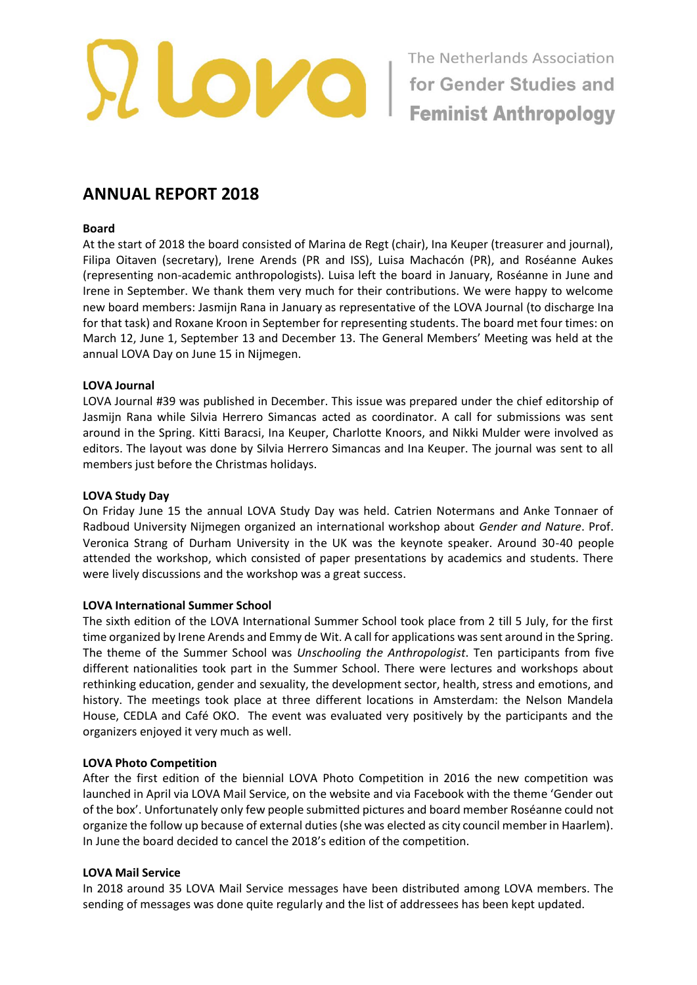

# **ANNUAL REPORT 2018**

#### **Board**

At the start of 2018 the board consisted of Marina de Regt (chair), Ina Keuper (treasurer and journal), Filipa Oitaven (secretary), Irene Arends (PR and ISS), Luisa Machacón (PR), and Roséanne Aukes (representing non-academic anthropologists). Luisa left the board in January, Roséanne in June and Irene in September. We thank them very much for their contributions. We were happy to welcome new board members: Jasmijn Rana in January as representative of the LOVA Journal (to discharge Ina for that task) and Roxane Kroon in September for representing students. The board met four times: on March 12, June 1, September 13 and December 13. The General Members' Meeting was held at the annual LOVA Day on June 15 in Nijmegen.

## **LOVA Journal**

LOVA Journal #39 was published in December. This issue was prepared under the chief editorship of Jasmijn Rana while Silvia Herrero Simancas acted as coordinator. A call for submissions was sent around in the Spring. Kitti Baracsi, Ina Keuper, Charlotte Knoors, and Nikki Mulder were involved as editors. The layout was done by Silvia Herrero Simancas and Ina Keuper. The journal was sent to all members just before the Christmas holidays.

#### **LOVA Study Day**

On Friday June 15 the annual LOVA Study Day was held. Catrien Notermans and Anke Tonnaer of Radboud University Nijmegen organized an international workshop about *Gender and Nature*. Prof. Veronica Strang of Durham University in the UK was the keynote speaker. Around 30-40 people attended the workshop, which consisted of paper presentations by academics and students. There were lively discussions and the workshop was a great success.

## **LOVA International Summer School**

The sixth edition of the LOVA International Summer School took place from 2 till 5 July, for the first time organized by Irene Arends and Emmy de Wit. A call for applications was sent around in the Spring. The theme of the Summer School was *Unschooling the Anthropologist*. Ten participants from five different nationalities took part in the Summer School. There were lectures and workshops about rethinking education, gender and sexuality, the development sector, health, stress and emotions, and history. The meetings took place at three different locations in Amsterdam: the Nelson Mandela House, CEDLA and Café OKO. The event was evaluated very positively by the participants and the organizers enjoyed it very much as well.

## **LOVA Photo Competition**

After the first edition of the biennial LOVA Photo Competition in 2016 the new competition was launched in April via LOVA Mail Service, on the website and via Facebook with the theme 'Gender out of the box'. Unfortunately only few people submitted pictures and board member Roséanne could not organize the follow up because of external duties (she was elected as city council member in Haarlem). In June the board decided to cancel the 2018's edition of the competition.

## **LOVA Mail Service**

In 2018 around 35 LOVA Mail Service messages have been distributed among LOVA members. The sending of messages was done quite regularly and the list of addressees has been kept updated.